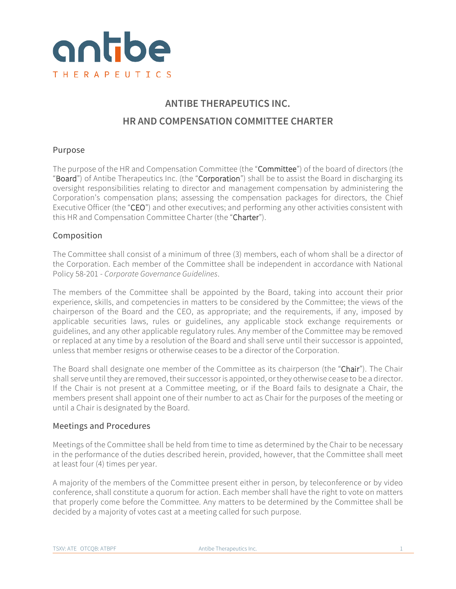

# **ANTIBE THERAPEUTICS INC. HR AND COMPENSATION COMMITTEE CHARTER**

# Purpose

The purpose of the HR and Compensation Committee (the "Committee") of the board of directors (the "Board") of Antibe Therapeutics Inc. (the "Corporation") shall be to assist the Board in discharging its oversight responsibilities relating to director and management compensation by administering the Corporation's compensation plans; assessing the compensation packages for directors, the Chief Executive Officer (the "CEO") and other executives; and performing any other activities consistent with this HR and Compensation Committee Charter (the "Charter").

# Composition

The Committee shall consist of a minimum of three (3) members, each of whom shall be a director of the Corporation. Each member of the Committee shall be independent in accordance with National Policy 58-201 - *Corporate Governance Guidelines*.

The members of the Committee shall be appointed by the Board, taking into account their prior experience, skills, and competencies in matters to be considered by the Committee; the views of the chairperson of the Board and the CEO, as appropriate; and the requirements, if any, imposed by applicable securities laws, rules or guidelines, any applicable stock exchange requirements or guidelines, and any other applicable regulatory rules. Any member of the Committee may be removed or replaced at any time by a resolution of the Board and shall serve until their successor is appointed, unless that member resigns or otherwise ceases to be a director of the Corporation.

The Board shall designate one member of the Committee as its chairperson (the "Chair"). The Chair shall serve until they are removed, their successor is appointed, or they otherwise cease to be a director. If the Chair is not present at a Committee meeting, or if the Board fails to designate a Chair, the members present shall appoint one of their number to act as Chair for the purposes of the meeting or until a Chair is designated by the Board.

# Meetings and Procedures

Meetings of the Committee shall be held from time to time as determined by the Chair to be necessary in the performance of the duties described herein, provided, however, that the Committee shall meet at least four (4) times per year.

A majority of the members of the Committee present either in person, by teleconference or by video conference, shall constitute a quorum for action. Each member shall have the right to vote on matters that properly come before the Committee. Any matters to be determined by the Committee shall be decided by a majority of votes cast at a meeting called for such purpose.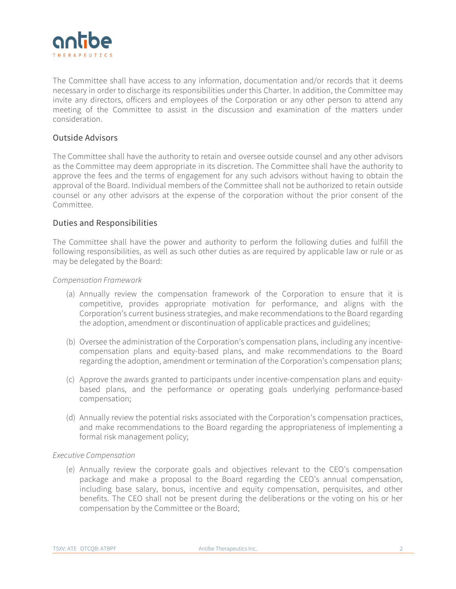

The Committee shall have access to any information, documentation and/or records that it deems necessary in order to discharge its responsibilities under this Charter. In addition, the Committee may invite any directors, officers and employees of the Corporation or any other person to attend any meeting of the Committee to assist in the discussion and examination of the matters under consideration.

# Outside Advisors

The Committee shall have the authority to retain and oversee outside counsel and any other advisors as the Committee may deem appropriate in its discretion. The Committee shall have the authority to approve the fees and the terms of engagement for any such advisors without having to obtain the approval of the Board. Individual members of the Committee shall not be authorized to retain outside counsel or any other advisors at the expense of the corporation without the prior consent of the Committee.

## Duties and Responsibilities

The Committee shall have the power and authority to perform the following duties and fulfill the following responsibilities, as well as such other duties as are required by applicable law or rule or as may be delegated by the Board:

#### *Compensation Framework*

- (a) Annually review the compensation framework of the Corporation to ensure that it is competitive, provides appropriate motivation for performance, and aligns with the Corporation's current business strategies, and make recommendations to the Board regarding the adoption, amendment or discontinuation of applicable practices and guidelines;
- (b) Oversee the administration of the Corporation's compensation plans, including any incentivecompensation plans and equity-based plans, and make recommendations to the Board regarding the adoption, amendment or termination of the Corporation's compensation plans;
- (c) Approve the awards granted to participants under incentive-compensation plans and equitybased plans, and the performance or operating goals underlying performance-based compensation;
- (d) Annually review the potential risks associated with the Corporation's compensation practices, and make recommendations to the Board regarding the appropriateness of implementing a formal risk management policy;

#### *Executive Compensation*

(e) Annually review the corporate goals and objectives relevant to the CEO's compensation package and make a proposal to the Board regarding the CEO's annual compensation, including base salary, bonus, incentive and equity compensation, perquisites, and other benefits. The CEO shall not be present during the deliberations or the voting on his or her compensation by the Committee or the Board;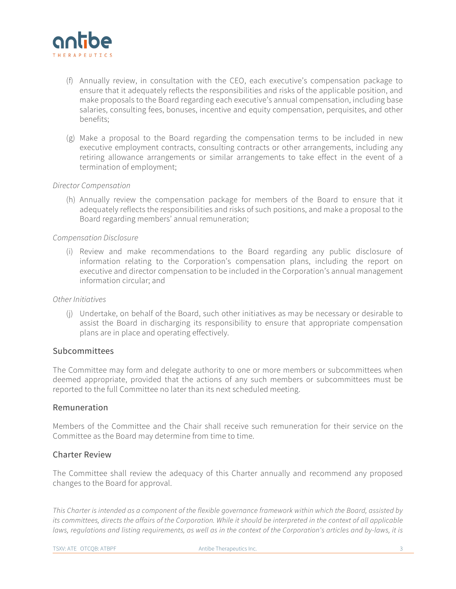

- (f) Annually review, in consultation with the CEO, each executive's compensation package to ensure that it adequately reflects the responsibilities and risks of the applicable position, and make proposals to the Board regarding each executive's annual compensation, including base salaries, consulting fees, bonuses, incentive and equity compensation, perquisites, and other benefits;
- (g) Make a proposal to the Board regarding the compensation terms to be included in new executive employment contracts, consulting contracts or other arrangements, including any retiring allowance arrangements or similar arrangements to take effect in the event of a termination of employment;

## *Director Compensation*

(h) Annually review the compensation package for members of the Board to ensure that it adequately reflects the responsibilities and risks of such positions, and make a proposal to the Board regarding members' annual remuneration;

## *Compensation Disclosure*

(i) Review and make recommendations to the Board regarding any public disclosure of information relating to the Corporation's compensation plans, including the report on executive and director compensation to be included in the Corporation's annual management information circular; and

#### *Other Initiatives*

(j) Undertake, on behalf of the Board, such other initiatives as may be necessary or desirable to assist the Board in discharging its responsibility to ensure that appropriate compensation plans are in place and operating effectively.

# Subcommittees

The Committee may form and delegate authority to one or more members or subcommittees when deemed appropriate, provided that the actions of any such members or subcommittees must be reported to the full Committee no later than its next scheduled meeting.

## Remuneration

Members of the Committee and the Chair shall receive such remuneration for their service on the Committee as the Board may determine from time to time.

# Charter Review

The Committee shall review the adequacy of this Charter annually and recommend any proposed changes to the Board for approval.

*This Charter is intended as a component of the flexible governance framework within which the Board, assisted by its committees, directs the affairs of the Corporation. While it should be interpreted in the context of all applicable*  laws, requlations and listing requirements, as well as in the context of the Corporation's articles and by-laws, it is